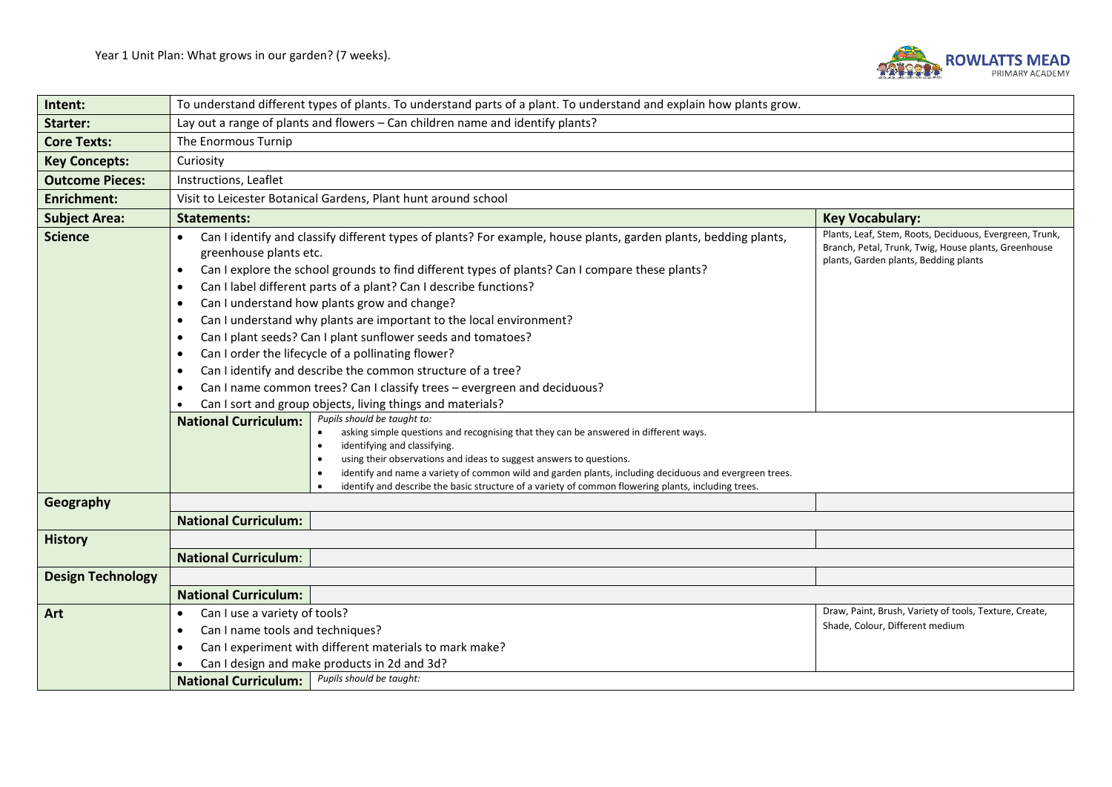

| Intent:                  | To understand different types of plants. To understand parts of a plant. To understand and explain how plants grow.                                                                                                                                                                                                                                                                                                                                                                                                                                                                                                                                                                                                                                                                                                                                                                                                                                                                                                                                                                                                                                                                                                                                                                                                                                                 |                                                                                                                                                          |  |  |  |
|--------------------------|---------------------------------------------------------------------------------------------------------------------------------------------------------------------------------------------------------------------------------------------------------------------------------------------------------------------------------------------------------------------------------------------------------------------------------------------------------------------------------------------------------------------------------------------------------------------------------------------------------------------------------------------------------------------------------------------------------------------------------------------------------------------------------------------------------------------------------------------------------------------------------------------------------------------------------------------------------------------------------------------------------------------------------------------------------------------------------------------------------------------------------------------------------------------------------------------------------------------------------------------------------------------------------------------------------------------------------------------------------------------|----------------------------------------------------------------------------------------------------------------------------------------------------------|--|--|--|
| Starter:                 | Lay out a range of plants and flowers - Can children name and identify plants?                                                                                                                                                                                                                                                                                                                                                                                                                                                                                                                                                                                                                                                                                                                                                                                                                                                                                                                                                                                                                                                                                                                                                                                                                                                                                      |                                                                                                                                                          |  |  |  |
| <b>Core Texts:</b>       | The Enormous Turnip                                                                                                                                                                                                                                                                                                                                                                                                                                                                                                                                                                                                                                                                                                                                                                                                                                                                                                                                                                                                                                                                                                                                                                                                                                                                                                                                                 |                                                                                                                                                          |  |  |  |
| <b>Key Concepts:</b>     | Curiosity                                                                                                                                                                                                                                                                                                                                                                                                                                                                                                                                                                                                                                                                                                                                                                                                                                                                                                                                                                                                                                                                                                                                                                                                                                                                                                                                                           |                                                                                                                                                          |  |  |  |
| <b>Outcome Pieces:</b>   | Instructions, Leaflet                                                                                                                                                                                                                                                                                                                                                                                                                                                                                                                                                                                                                                                                                                                                                                                                                                                                                                                                                                                                                                                                                                                                                                                                                                                                                                                                               |                                                                                                                                                          |  |  |  |
| <b>Enrichment:</b>       | Visit to Leicester Botanical Gardens, Plant hunt around school                                                                                                                                                                                                                                                                                                                                                                                                                                                                                                                                                                                                                                                                                                                                                                                                                                                                                                                                                                                                                                                                                                                                                                                                                                                                                                      |                                                                                                                                                          |  |  |  |
| <b>Subject Area:</b>     | <b>Statements:</b><br><b>Key Vocabulary:</b>                                                                                                                                                                                                                                                                                                                                                                                                                                                                                                                                                                                                                                                                                                                                                                                                                                                                                                                                                                                                                                                                                                                                                                                                                                                                                                                        |                                                                                                                                                          |  |  |  |
| <b>Science</b>           | Can I identify and classify different types of plants? For example, house plants, garden plants, bedding plants,<br>greenhouse plants etc.<br>Can I explore the school grounds to find different types of plants? Can I compare these plants?<br>$\bullet$<br>Can I label different parts of a plant? Can I describe functions?<br>٠<br>Can I understand how plants grow and change?<br>$\bullet$<br>Can I understand why plants are important to the local environment?<br>$\bullet$<br>Can I plant seeds? Can I plant sunflower seeds and tomatoes?<br>$\bullet$<br>Can I order the lifecycle of a pollinating flower?<br>$\bullet$<br>Can I identify and describe the common structure of a tree?<br>$\bullet$<br>Can I name common trees? Can I classify trees - evergreen and deciduous?<br>Can I sort and group objects, living things and materials?<br>Pupils should be taught to:<br><b>National Curriculum:</b><br>asking simple questions and recognising that they can be answered in different ways.<br>$\bullet$<br>identifying and classifying.<br>using their observations and ideas to suggest answers to questions.<br>identify and name a variety of common wild and garden plants, including deciduous and evergreen trees.<br>$\bullet$<br>identify and describe the basic structure of a variety of common flowering plants, including trees. | Plants, Leaf, Stem, Roots, Deciduous, Evergreen, Trunk,<br>Branch, Petal, Trunk, Twig, House plants, Greenhouse<br>plants, Garden plants, Bedding plants |  |  |  |
| Geography                | <b>National Curriculum:</b>                                                                                                                                                                                                                                                                                                                                                                                                                                                                                                                                                                                                                                                                                                                                                                                                                                                                                                                                                                                                                                                                                                                                                                                                                                                                                                                                         |                                                                                                                                                          |  |  |  |
| <b>History</b>           |                                                                                                                                                                                                                                                                                                                                                                                                                                                                                                                                                                                                                                                                                                                                                                                                                                                                                                                                                                                                                                                                                                                                                                                                                                                                                                                                                                     |                                                                                                                                                          |  |  |  |
|                          | <b>National Curriculum:</b>                                                                                                                                                                                                                                                                                                                                                                                                                                                                                                                                                                                                                                                                                                                                                                                                                                                                                                                                                                                                                                                                                                                                                                                                                                                                                                                                         |                                                                                                                                                          |  |  |  |
| <b>Design Technology</b> |                                                                                                                                                                                                                                                                                                                                                                                                                                                                                                                                                                                                                                                                                                                                                                                                                                                                                                                                                                                                                                                                                                                                                                                                                                                                                                                                                                     |                                                                                                                                                          |  |  |  |
|                          | <b>National Curriculum:</b>                                                                                                                                                                                                                                                                                                                                                                                                                                                                                                                                                                                                                                                                                                                                                                                                                                                                                                                                                                                                                                                                                                                                                                                                                                                                                                                                         |                                                                                                                                                          |  |  |  |
| Art                      | Can I use a variety of tools?                                                                                                                                                                                                                                                                                                                                                                                                                                                                                                                                                                                                                                                                                                                                                                                                                                                                                                                                                                                                                                                                                                                                                                                                                                                                                                                                       | Draw, Paint, Brush, Variety of tools, Texture, Create,                                                                                                   |  |  |  |
|                          | Shade, Colour, Different medium<br>Can I name tools and techniques?                                                                                                                                                                                                                                                                                                                                                                                                                                                                                                                                                                                                                                                                                                                                                                                                                                                                                                                                                                                                                                                                                                                                                                                                                                                                                                 |                                                                                                                                                          |  |  |  |
|                          | Can I experiment with different materials to mark make?                                                                                                                                                                                                                                                                                                                                                                                                                                                                                                                                                                                                                                                                                                                                                                                                                                                                                                                                                                                                                                                                                                                                                                                                                                                                                                             |                                                                                                                                                          |  |  |  |
|                          | Can I design and make products in 2d and 3d?<br>Pupils should be taught:                                                                                                                                                                                                                                                                                                                                                                                                                                                                                                                                                                                                                                                                                                                                                                                                                                                                                                                                                                                                                                                                                                                                                                                                                                                                                            |                                                                                                                                                          |  |  |  |
|                          | <b>National Curriculum:</b>                                                                                                                                                                                                                                                                                                                                                                                                                                                                                                                                                                                                                                                                                                                                                                                                                                                                                                                                                                                                                                                                                                                                                                                                                                                                                                                                         |                                                                                                                                                          |  |  |  |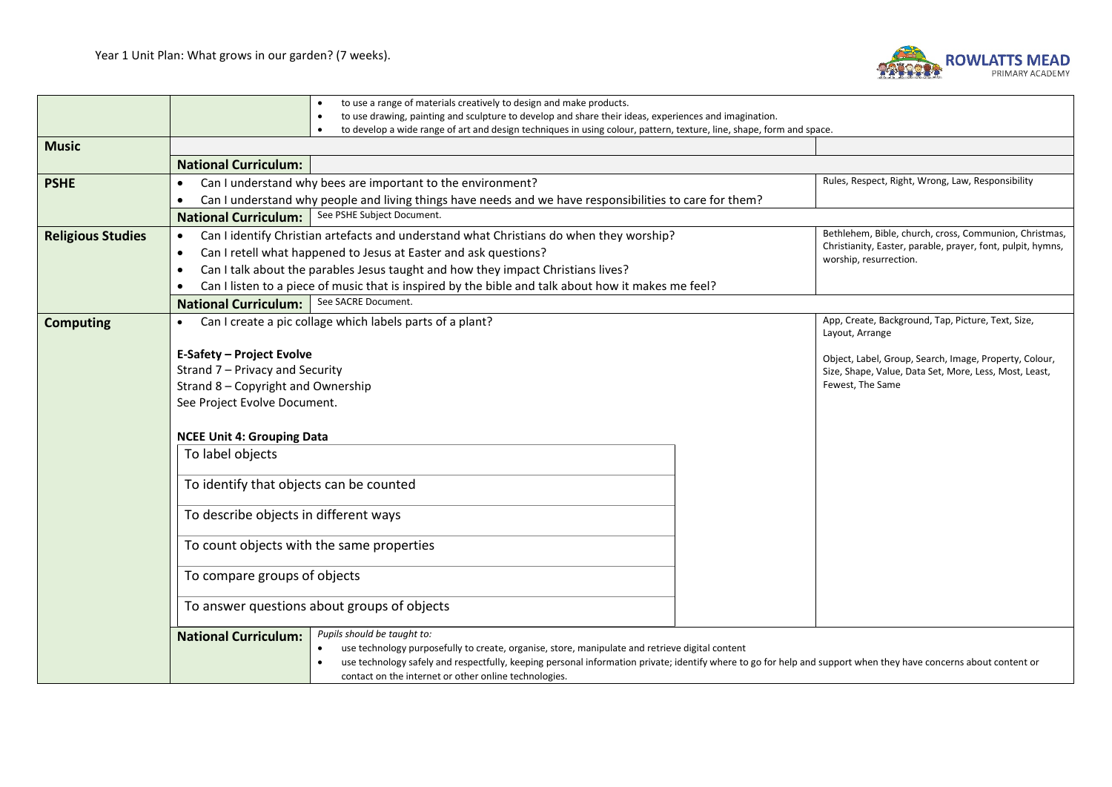

|                          | to use a range of materials creatively to design and make products.                                                                                              |                                                                                       |  |  |  |
|--------------------------|------------------------------------------------------------------------------------------------------------------------------------------------------------------|---------------------------------------------------------------------------------------|--|--|--|
|                          | to use drawing, painting and sculpture to develop and share their ideas, experiences and imagination.                                                            |                                                                                       |  |  |  |
|                          | to develop a wide range of art and design techniques in using colour, pattern, texture, line, shape, form and space.<br>$\bullet$                                |                                                                                       |  |  |  |
| <b>Music</b>             |                                                                                                                                                                  |                                                                                       |  |  |  |
|                          | <b>National Curriculum:</b>                                                                                                                                      |                                                                                       |  |  |  |
| <b>PSHE</b>              | Can I understand why bees are important to the environment?<br>$\bullet$                                                                                         | Rules, Respect, Right, Wrong, Law, Responsibility                                     |  |  |  |
|                          | Can I understand why people and living things have needs and we have responsibilities to care for them?<br>$\bullet$                                             |                                                                                       |  |  |  |
|                          | See PSHE Subject Document.<br><b>National Curriculum:</b>                                                                                                        |                                                                                       |  |  |  |
| <b>Religious Studies</b> | Can I identify Christian artefacts and understand what Christians do when they worship?<br>$\bullet$                                                             | Bethlehem, Bible, church, cross, Communion, Christmas,                                |  |  |  |
|                          | Can I retell what happened to Jesus at Easter and ask questions?<br>$\bullet$                                                                                    | Christianity, Easter, parable, prayer, font, pulpit, hymns,<br>worship, resurrection. |  |  |  |
|                          | Can I talk about the parables Jesus taught and how they impact Christians lives?<br>$\bullet$                                                                    |                                                                                       |  |  |  |
|                          | Can I listen to a piece of music that is inspired by the bible and talk about how it makes me feel?                                                              |                                                                                       |  |  |  |
|                          | See SACRE Document.<br><b>National Curriculum:</b>                                                                                                               |                                                                                       |  |  |  |
| <b>Computing</b>         | Can I create a pic collage which labels parts of a plant?<br>$\bullet$                                                                                           | App, Create, Background, Tap, Picture, Text, Size,<br>Layout, Arrange                 |  |  |  |
|                          | <b>E-Safety - Project Evolve</b>                                                                                                                                 |                                                                                       |  |  |  |
|                          | Object, Label, Group, Search, Image, Property, Colour,<br>Strand 7 - Privacy and Security<br>Size, Shape, Value, Data Set, More, Less, Most, Least,              |                                                                                       |  |  |  |
|                          | Strand 8 - Copyright and Ownership                                                                                                                               | Fewest, The Same                                                                      |  |  |  |
|                          | See Project Evolve Document.                                                                                                                                     |                                                                                       |  |  |  |
|                          |                                                                                                                                                                  |                                                                                       |  |  |  |
|                          | <b>NCEE Unit 4: Grouping Data</b>                                                                                                                                |                                                                                       |  |  |  |
|                          | To label objects                                                                                                                                                 |                                                                                       |  |  |  |
|                          |                                                                                                                                                                  |                                                                                       |  |  |  |
|                          | To identify that objects can be counted                                                                                                                          |                                                                                       |  |  |  |
|                          |                                                                                                                                                                  |                                                                                       |  |  |  |
|                          | To describe objects in different ways                                                                                                                            |                                                                                       |  |  |  |
|                          | To count objects with the same properties                                                                                                                        |                                                                                       |  |  |  |
|                          |                                                                                                                                                                  |                                                                                       |  |  |  |
|                          | To compare groups of objects                                                                                                                                     |                                                                                       |  |  |  |
|                          |                                                                                                                                                                  |                                                                                       |  |  |  |
|                          | To answer questions about groups of objects                                                                                                                      |                                                                                       |  |  |  |
|                          | Pupils should be taught to:<br><b>National Curriculum:</b>                                                                                                       |                                                                                       |  |  |  |
|                          | use technology purposefully to create, organise, store, manipulate and retrieve digital content                                                                  |                                                                                       |  |  |  |
|                          | use technology safely and respectfully, keeping personal information private; identify where to go for help and support when they have concerns about content or |                                                                                       |  |  |  |
|                          | contact on the internet or other online technologies.                                                                                                            |                                                                                       |  |  |  |